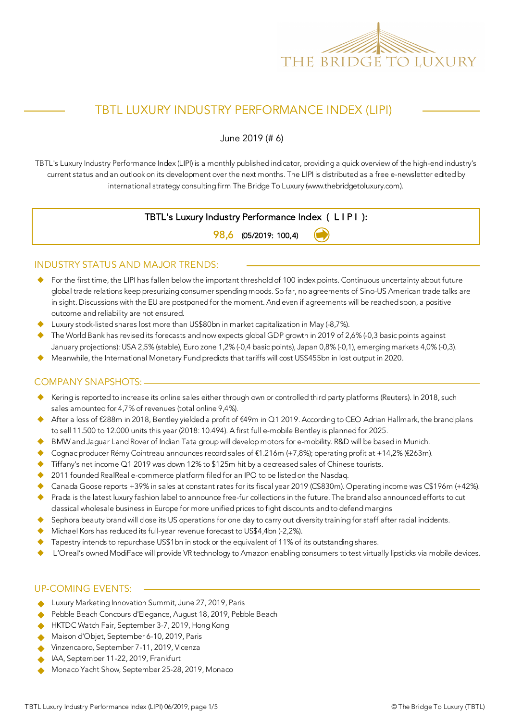

# TBTL LUXURY INDUSTRY PERFORMANCE INDEX (LIPI)

June 2019 (# 6)

TBTL's Luxury Industry Performance Index (LIPI) is a monthly published indicator, providing a quick overview of the high-end industry's current status and an outlook on its development over the next months. The LIPI is distributed as a free e-newsletter edited by international strategy consulting firm The Bridge To Luxury (www.thebridgetoluxury.com).

### TBTL's Luxury Industry Performance Index ( L I P I ):

98,6 (05/2019: 100,4)

### INDUSTRY STATUS AND MAJOR TRENDS:

- ◆ For the first time, the LIPI has fallen below the important threshold of 100 index points. Continuous uncertainty about future global trade relations keep presurizing consumer spending moods. So far, no agreements of Sino-US American trade talks are in sight. Discussions with the EU are postponed for the moment. And even if agreements will be reached soon, a positive outcome and reliability are not ensured.
- u Luxury stock-listed shares lost more than US\$80bn in market capitalization in May (-8,7%).
- The World Bank has revised its forecasts and now expects global GDP growth in 2019 of 2,6% (-0,3 basic points against January projections): USA 2,5% (stable), Euro zone 1,2% (-0,4 basic points), Japan 0,8% (-0,1), emerging markets 4,0% (-0,3).
- u Meanwhile, the International Monetary Fund predicts that tariffs will cost US\$455bn in lost output in 2020.

### COMPANY SNAPSHOTS:

- Kering is reported to increase its online sales either through own or controlled third party platforms (Reuters). In 2018, such sales amounted for 4,7% of revenues (total online 9,4%).
- After a loss of €288m in 2018, Bentley yielded a profit of €49m in Q1 2019. According to CEO Adrian Hallmark, the brand plans to sell 11.500 to 12.000 units this year (2018: 10.494). A first full e-mobile Bentley is planned for 2025.
- BMW and Jaguar Land Rover of Indian Tata group will develop motors for e-mobility. R&D will be based in Munich.
- Cognac producer Rémy Cointreau announces record sales of €1.216m (+7,8%); operating profit at +14,2% (€263m).
- $\blacklozenge$  Tiffany's net income Q1 2019 was down 12% to \$125m hit by a decreased sales of Chinese tourists.
- 2011 founded RealReal e-commerce platform filed for an IPO to be listed on the Nasdaq.
- Canada Goose reports +39% in sales at constant rates for its fiscal year 2019 (C\$830m). Operating income was C\$196m (+42%).
- ◆ Prada is the latest luxury fashion label to announce free-fur collections in the future. The brand also announced efforts to cut classical wholesale business in Europe for more unified prices to fight discounts and to defend margins
- Sephora beauty brand will close its US operations for one day to carry out diversity training for staff after racial incidents.
- $\blacklozenge$  Michael Kors has reduced its full-year revenue forecast to US\$4,4bn (-2,2%).
- Tapestry intends to repurchase US\$1bn in stock or the equivalent of 11% of its outstanding shares.
- L'Oreal's owned ModiFace will provide VR technology to Amazon enabling consumers to test virtually lipsticks via mobile devices.

### UP-COMING EVENTS:

- ◆ Luxury Marketing Innovation Summit, June 27, 2019, Paris
- u Pebble Beach Concours d'Elegance, August 18, 2019, Pebble Beach
- HKTDC Watch Fair, September 3-7, 2019, Hong Kong
- Maison d'Objet, September 6-10, 2019, Paris
- ◆ Vinzencaoro, September 7-11, 2019, Vicenza
- **A** IAA, September 11-22, 2019, Frankfurt
- Monaco Yacht Show, September 25-28, 2019, Monaco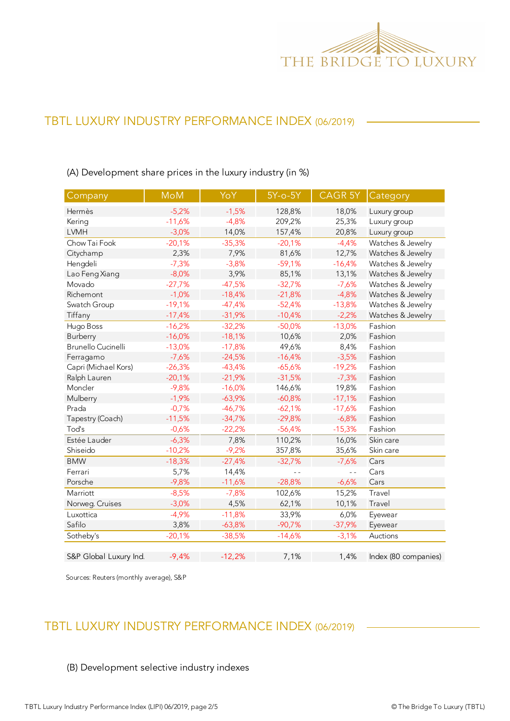

# TBTL LUXURY INDUSTRY PERFORMANCE INDEX (06/2019)

Company | MoM | YoY | 5Y-o-5Y | CAGR 5Y | Category Hermès -5,2% -1,5% 128,8% 18,0% Luxury group Kering 11,6% -4,8% 209,2% 25,3% Luxury group<br>14,0% 157,4% 20,8% Luxury group -3,0% 14,0% 157,4% 20,8% Luxury group -3,0% 14,0% 157,4% 20,8% Luxury group Chow Tai Fook -20,1% -35,3% -20,1% -4,4% Watches & Jewelry Citychamp 2,3% 7,9% 81,6% 12,7% Watches & Jewelry Hengdeli -7,3% -3,8% -59,1% -16,4% Watches & Jewelry Lao Feng Xiang -8,0% 3,9% 85,1% 13,1% Watches & Jewelry Movado -27,7% -47,5% -32,7% -7,6% Watches & Jewelry Richemont -1,0% -18,4% -21,8% -4,8% Watches & Jewelry Swatch Group -19,1% -47,4% -52,4% -13,8% Watches & Jewelry Tiffany -17,4% -31,9% -10,4% -2,2% Watches & Jewelry Hugo Boss -16,2% -32,2% -50,0% -13,0% Fashion Burberry -16,0% -18,1% 10,6% 2,0% Fashion Brunello Cucinelli -13,0% -17,8% 49,6% 8,4% Fashion Ferragamo -7,6% -24,5% -16,4% -3,5% Fashion Capri (Michael Kors) -26,3% -43,4% -65,6% -19,2% Fashion Ralph Lauren -20,1% -21,9% -31,5% -7,3% Fashion Moncler -9,8% -16,0% 146,6% 19,8% Fashion Mulberry -1,9% -63,9% -60,8% -17,1% Fashion Prada -0,7% -46,7% -62,1% -17,6% Fashion Tapestry (Coach) -11,5% -34,7% -29,8% -6,8% Fashion Tod's -0,6% -22,2% -56,4% -15,3% Fashion Estée Lauder -6,3% 7,8% 110,2% 16,0% Skin care Shiseido -10,2% -9,2% 357,8% 35,6% Skin care -10,2% -9,2% BMW -18,3% -27,4% -32,7% -7,6% Cars Ferrari 5,7% 14,4% - - - - Cars Porsche -9,8% -11,6% -28,8% -6,6% Cars -0,6% -0,11,6% -0,11,6% -0,11,6% -0,11,6% -0,11,6% -0,11,6% -0,11,6% -0 Marriott -8,5% -7,8% 102,6% 15,2% Travel Norweg. Cruises -3,0% 4,5% 62,1% 10,1% Travel Luxottica -4,9% -11,8% 33,9% 6,0% Eyewear Safilo 3,8% -63,8% -90,7% -37,9% Eyewear -90,7% -39,9% -90,7% Sotheby's -20,1% -38,5% -14,6% -3,1% Auctions S&P Global Luxury Ind. 4,4% -12,2% 1,1% 1,4% Index (80 companies) MoM CAGR 5Y

(A) Development share prices in the luxury industry (in %)

Sources: Reuters (monthly average), S&P

## TBTL LUXURY INDUSTRY PERFORMANCE INDEX (06/2019)

#### (B) Development selective industry indexes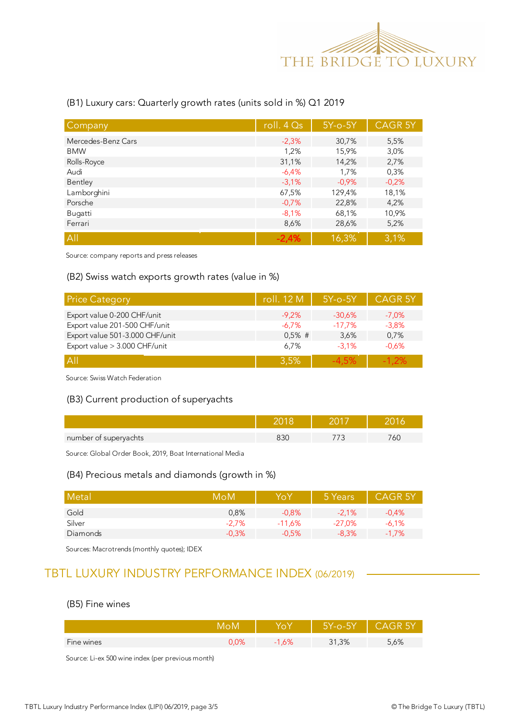

### (B1) Luxury cars: Quarterly growth rates (units sold in %) Q1 2019

| Company            | roll. $4Qs$ | $5Y$ -o- $5Y$ | <b>CAGR 5Y</b> |
|--------------------|-------------|---------------|----------------|
| Mercedes-Benz Cars | $-2,3%$     | 30,7%         | 5,5%           |
| <b>BMW</b>         | 1,2%        | 15,9%         | 3,0%           |
| Rolls-Royce        | 31,1%       | 14,2%         | 2,7%           |
| Audi               | $-6.4%$     | 1,7%          | 0,3%           |
| Bentley            | $-3.1%$     | $-0.9%$       | $-0,2%$        |
| Lamborghini        | 67,5%       | 129,4%        | 18,1%          |
| Porsche            | $-0,7%$     | 22,8%         | 4,2%           |
| Bugatti            | $-8,1%$     | 68,1%         | 10,9%          |
| Ferrari            | 8,6%        | 28,6%         | 5,2%           |
| A                  | $-2.4%$     | 16,3%         | 3,1%           |

Source: company reports and press releases

### (B2) Swiss watch exports growth rates (value in %)

| <b>Price Category</b>           | roll. 12 M | $5Y$ -o- $5Y$ | CAGR <sub>5Y</sub> |
|---------------------------------|------------|---------------|--------------------|
| Export value 0-200 CHF/unit     | $-9,2%$    | $-30.6%$      | $-7.0%$            |
| Export value 201-500 CHF/unit   | $-6.7\%$   | $-17.7\%$     | $-3.8%$            |
| Export value 501-3.000 CHF/unit | $0,5%$ #   | 3.6%          | 0,7%               |
| Export value > 3.000 CHF/unit   | 6.7%       | $-3.1%$       | $-0.6%$            |
| ΑII                             | 3.5%       | -4.5%         | $-1.2\%$           |

Source: Swiss Watch Federation

### (B3) Current production of superyachts

| number of superyachts | 33C | 6L |
|-----------------------|-----|----|

Source: Global Order Book, 2019, Boat International Media

#### (B4) Precious metals and diamonds (growth in %)

| Metal    | MoM      | Yo Y     | 5 Years  | <b>CAGR 5Y</b> |
|----------|----------|----------|----------|----------------|
| Gold     | 0.8%     | $-0.8%$  | $-2.1%$  | $-0.4%$        |
| Silver   | $-2.7\%$ | $-11.6%$ | $-27.0%$ | $-6,1%$        |
| Diamonds | $-0.3%$  | $-0.5%$  | $-8.3\%$ | $-1,7%$        |

Sources: Macrotrends (monthly quotes); IDEX

## TBTL LUXURY INDUSTRY PERFORMANCE INDEX (06/2019)

### (B5) Fine wines

|            |      |       | $-1$<br>∕-∩-ל            |      |
|------------|------|-------|--------------------------|------|
| Fine wines | 9,0% | ,O /o | ,3%<br>$\mathbf{A}$<br>ັ | 5,6% |

Source: Li-ex 500 wine index (per previous month)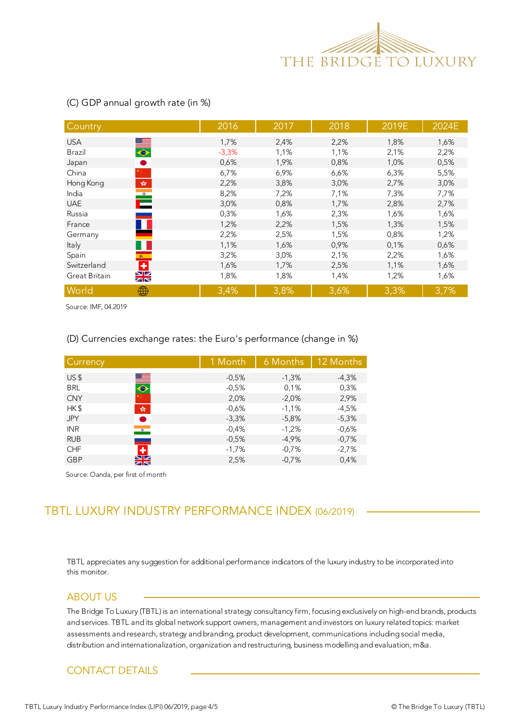

| Country                                                              | 2016    | 2017 | 2018 | 2019E | 2024E |
|----------------------------------------------------------------------|---------|------|------|-------|-------|
| <b>USA</b>                                                           | 1,7%    | 2,4% | 2,2% | 1,8%  | 1,6%  |
| $\bullet$<br><b>Brazil</b>                                           | $-3,3%$ | 1,1% | 1,1% | 2,1%  | 2,2%  |
| $\bullet$<br>Japan                                                   | 0,6%    | 1,9% | 0,8% | 1,0%  | 0,5%  |
| China                                                                | 6,7%    | 6,9% | 6,6% | 6,3%  | 5,5%  |
| $\mathcal{L}_{\mathcal{R}}^{\mathcal{S}_{\mathcal{R}}}$<br>Hong Kong | 2,2%    | 3,8% | 3,0% | 2,7%  | 3,0%  |
| $\bullet$<br>India                                                   | 8,2%    | 7,2% | 7,1% | 7,3%  | 7,7%  |
| Е<br><b>UAE</b>                                                      | 3,0%    | 0,8% | 1,7% | 2,8%  | 2,7%  |
| Russia                                                               | 0,3%    | 1,6% | 2,3% | 1,6%  | 1,6%  |
| France                                                               | 1,2%    | 2,2% | 1,5% | 1,3%  | 1,5%  |
| Germany                                                              | 2,2%    | 2,5% | 1,5% | 0,8%  | 1,2%  |
| Italy                                                                | 1,1%    | 1,6% | 0,9% | 0,1%  | 0,6%  |
| Spain<br>$\langle \hat{\mathbf{x}} \rangle$ .                        | 3,2%    | 3,0% | 2,1% | 2,2%  | 1,6%  |
| $\div$<br>Switzerland                                                | 1,6%    | 1,7% | 2,5% | 1,1%  | 1,6%  |
| $\frac{N}{N}$<br>Great Britain                                       | 1,8%    | 1,8% | 1,4% | 1,2%  | 1,6%  |
| World<br>₩                                                           | 3,4%    | 3,8% | 3,6% | 3,3%  | 3,7%  |

### (C) GDP annual growth rate (in %)

Source: IMF, 04.2019

#### (D) Currencies exchange rates: the Euro's performance (change in %)

| Currency        |               | 1 Month | 6 Months | 12 Months |
|-----------------|---------------|---------|----------|-----------|
| US <sub>5</sub> | ▀             | $-0.5%$ | $-1,3%$  | $-4,3%$   |
| <b>BRL</b>      | $\bullet$     | $-0,5%$ | 0,1%     | 0,3%      |
| <b>CNY</b>      |               | 2,0%    | $-2.0%$  | 2,9%      |
| HK\$            | $\frac{1}{2}$ | $-0,6%$ | $-1,1%$  | $-4,5%$   |
| <b>JPY</b>      |               | $-3,3%$ | $-5,8%$  | $-5,3%$   |
| <b>INR</b>      | $\bullet$     | $-0,4%$ | $-1,2%$  | $-0,6%$   |
| <b>RUB</b>      |               | $-0.5%$ | $-4,9%$  | $-0,7%$   |
| <b>CHF</b>      | ٠             | $-1,7%$ | $-0,7%$  | $-2,7%$   |
| <b>GBP</b>      | NZ            | 2,5%    | $-0,7%$  | 0,4%      |

Source: Oanda, per first of month

# TBTL LUXURY INDUSTRY PERFORMANCE INDEX (06/2019)

this monitor. TBTL appreciates any suggestion for additional performance indicators of the luxury industry to be incorporated into

### ABOUT US

The Bridge To Luxury (TBTL) is an international strategy consultancy firm, focusing exclusively on high-end brands, products and services. TBTL and its global network support owners, management and investors on luxury related topics: market assessments and research, strategy and branding, product development, communications including social media, distribution and internationalization, organization and restructuring, business modelling and evaluation, m&a.

### CONTACT DETAILS